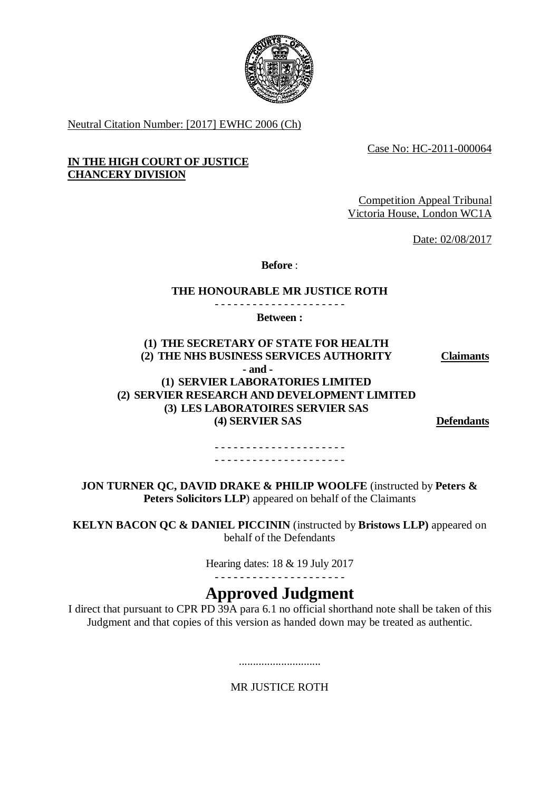

Neutral Citation Number: [2017] EWHC 2006 (Ch)

Case No: HC-2011-000064

# **IN THE HIGH COURT OF JUSTICE CHANCERY DIVISION**

Competition Appeal Tribunal Victoria House, London WC1A

Date: 02/08/2017

**Before** :

#### **THE HONOURABLE MR JUSTICE ROTH** - - - - - - - - - - - - - - - - - - - - -

**Between :**

## **(1) THE SECRETARY OF STATE FOR HEALTH (2) THE NHS BUSINESS SERVICES AUTHORITY Claimants - and - (1) SERVIER LABORATORIES LIMITED (2) SERVIER RESEARCH AND DEVELOPMENT LIMITED (3) LES LABORATOIRES SERVIER SAS (4) SERVIER SAS Defendants**

- - - - - - - - - - - - - - - - - - - - - - - - - - - - - - - - - - - - - - - - - -

**JON TURNER QC, DAVID DRAKE & PHILIP WOOLFE** (instructed by **Peters & Peters Solicitors LLP**) appeared on behalf of the Claimants

**KELYN BACON QC & DANIEL PICCININ** (instructed by **Bristows LLP)** appeared on behalf of the Defendants

> Hearing dates: 18 & 19 July 2017 - - - - - - - - - - - - - - - - - - - - -

# **Approved Judgment**

I direct that pursuant to CPR PD 39A para 6.1 no official shorthand note shall be taken of this Judgment and that copies of this version as handed down may be treated as authentic.

.............................

MR JUSTICE ROTH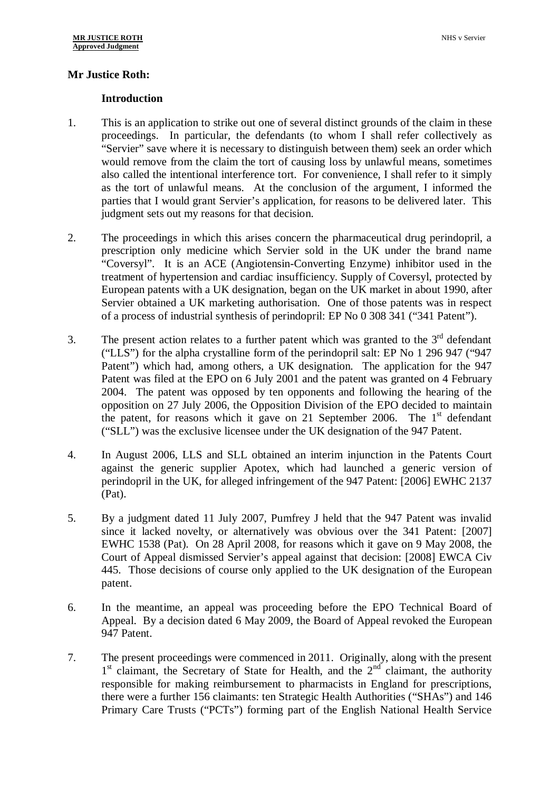## **Mr Justice Roth:**

#### **Introduction**

- 1. This is an application to strike out one of several distinct grounds of the claim in these proceedings. In particular, the defendants (to whom I shall refer collectively as "Servier" save where it is necessary to distinguish between them) seek an order which would remove from the claim the tort of causing loss by unlawful means, sometimes also called the intentional interference tort. For convenience, I shall refer to it simply as the tort of unlawful means. At the conclusion of the argument, I informed the parties that I would grant Servier's application, for reasons to be delivered later. This judgment sets out my reasons for that decision.
- 2. The proceedings in which this arises concern the pharmaceutical drug perindopril, a prescription only medicine which Servier sold in the UK under the brand name "Coversyl". It is an ACE (Angiotensin-Converting Enzyme) inhibitor used in the treatment of hypertension and cardiac insufficiency. Supply of Coversyl, protected by European patents with a UK designation, began on the UK market in about 1990, after Servier obtained a UK marketing authorisation. One of those patents was in respect of a process of industrial synthesis of perindopril: EP No 0 308 341 ("341 Patent").
- 3. The present action relates to a further patent which was granted to the  $3<sup>rd</sup>$  defendant ("LLS") for the alpha crystalline form of the perindopril salt: EP No 1 296 947 ("947 Patent") which had, among others, a UK designation. The application for the 947 Patent was filed at the EPO on 6 July 2001 and the patent was granted on 4 February 2004. The patent was opposed by ten opponents and following the hearing of the opposition on 27 July 2006, the Opposition Division of the EPO decided to maintain the patent, for reasons which it gave on 21 September 2006. The  $1<sup>st</sup>$  defendant ("SLL") was the exclusive licensee under the UK designation of the 947 Patent.
- 4. In August 2006, LLS and SLL obtained an interim injunction in the Patents Court against the generic supplier Apotex, which had launched a generic version of perindopril in the UK, for alleged infringement of the 947 Patent: [2006] EWHC 2137 (Pat).
- 5. By a judgment dated 11 July 2007, Pumfrey J held that the 947 Patent was invalid since it lacked novelty, or alternatively was obvious over the 341 Patent: [2007] EWHC 1538 (Pat). On 28 April 2008, for reasons which it gave on 9 May 2008, the Court of Appeal dismissed Servier's appeal against that decision: [2008] EWCA Civ 445. Those decisions of course only applied to the UK designation of the European patent.
- 6. In the meantime, an appeal was proceeding before the EPO Technical Board of Appeal. By a decision dated 6 May 2009, the Board of Appeal revoked the European 947 Patent.
- 7. The present proceedings were commenced in 2011. Originally, along with the present 1<sup>st</sup> claimant, the Secretary of State for Health, and the 2<sup>nd</sup> claimant, the authority responsible for making reimbursement to pharmacists in England for prescriptions, there were a further 156 claimants: ten Strategic Health Authorities ("SHAs") and 146 Primary Care Trusts ("PCTs") forming part of the English National Health Service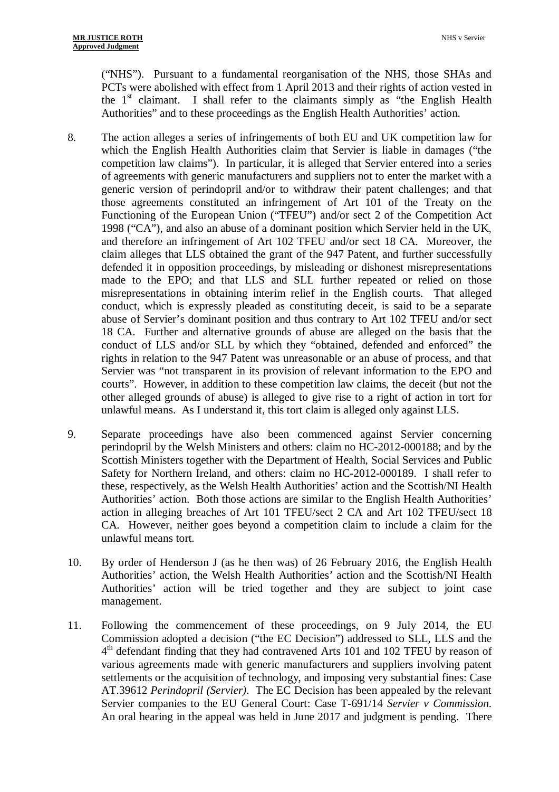("NHS"). Pursuant to a fundamental reorganisation of the NHS, those SHAs and PCTs were abolished with effect from 1 April 2013 and their rights of action vested in the  $1<sup>st</sup>$  claimant. I shall refer to the claimants simply as "the English Health Authorities" and to these proceedings as the English Health Authorities' action.

- 8. The action alleges a series of infringements of both EU and UK competition law for which the English Health Authorities claim that Servier is liable in damages ("the competition law claims"). In particular, it is alleged that Servier entered into a series of agreements with generic manufacturers and suppliers not to enter the market with a generic version of perindopril and/or to withdraw their patent challenges; and that those agreements constituted an infringement of Art 101 of the Treaty on the Functioning of the European Union ("TFEU") and/or sect 2 of the Competition Act 1998 ("CA"), and also an abuse of a dominant position which Servier held in the UK, and therefore an infringement of Art 102 TFEU and/or sect 18 CA. Moreover, the claim alleges that LLS obtained the grant of the 947 Patent, and further successfully defended it in opposition proceedings, by misleading or dishonest misrepresentations made to the EPO; and that LLS and SLL further repeated or relied on those misrepresentations in obtaining interim relief in the English courts. That alleged conduct, which is expressly pleaded as constituting deceit, is said to be a separate abuse of Servier's dominant position and thus contrary to Art 102 TFEU and/or sect 18 CA. Further and alternative grounds of abuse are alleged on the basis that the conduct of LLS and/or SLL by which they "obtained, defended and enforced" the rights in relation to the 947 Patent was unreasonable or an abuse of process, and that Servier was "not transparent in its provision of relevant information to the EPO and courts". However, in addition to these competition law claims, the deceit (but not the other alleged grounds of abuse) is alleged to give rise to a right of action in tort for unlawful means. As I understand it, this tort claim is alleged only against LLS.
- 9. Separate proceedings have also been commenced against Servier concerning perindopril by the Welsh Ministers and others: claim no HC-2012-000188; and by the Scottish Ministers together with the Department of Health, Social Services and Public Safety for Northern Ireland, and others: claim no HC-2012-000189. I shall refer to these, respectively, as the Welsh Health Authorities' action and the Scottish/NI Health Authorities' action. Both those actions are similar to the English Health Authorities' action in alleging breaches of Art 101 TFEU/sect 2 CA and Art 102 TFEU/sect 18 CA. However, neither goes beyond a competition claim to include a claim for the unlawful means tort.
- 10. By order of Henderson J (as he then was) of 26 February 2016, the English Health Authorities' action, the Welsh Health Authorities' action and the Scottish/NI Health Authorities' action will be tried together and they are subject to joint case management.
- 11. Following the commencement of these proceedings, on 9 July 2014, the EU Commission adopted a decision ("the EC Decision") addressed to SLL, LLS and the 4<sup>th</sup> defendant finding that they had contravened Arts 101 and 102 TFEU by reason of various agreements made with generic manufacturers and suppliers involving patent settlements or the acquisition of technology, and imposing very substantial fines: Case AT.39612 *Perindopril (Servier)*. The EC Decision has been appealed by the relevant Servier companies to the EU General Court: Case T-691/14 *Servier v Commission*. An oral hearing in the appeal was held in June 2017 and judgment is pending. There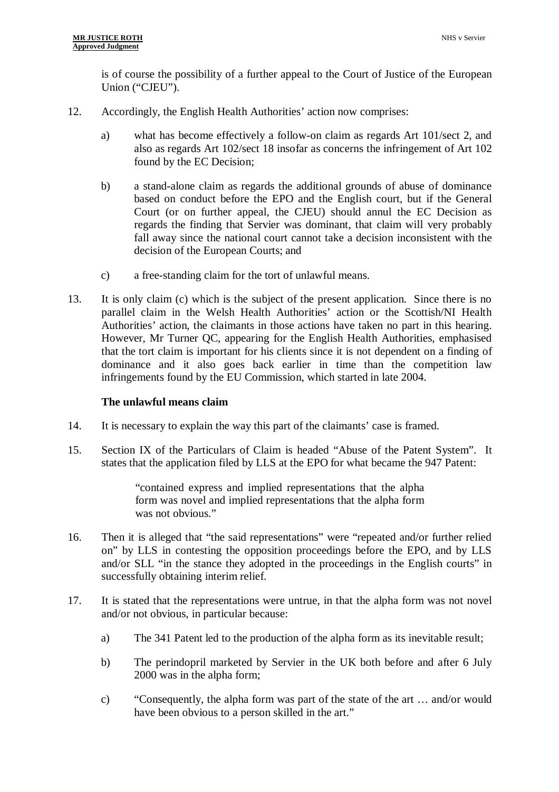is of course the possibility of a further appeal to the Court of Justice of the European Union ("CJEU").

- 12. Accordingly, the English Health Authorities' action now comprises:
	- a) what has become effectively a follow-on claim as regards Art 101/sect 2, and also as regards Art 102/sect 18 insofar as concerns the infringement of Art 102 found by the EC Decision;
	- b) a stand-alone claim as regards the additional grounds of abuse of dominance based on conduct before the EPO and the English court, but if the General Court (or on further appeal, the CJEU) should annul the EC Decision as regards the finding that Servier was dominant, that claim will very probably fall away since the national court cannot take a decision inconsistent with the decision of the European Courts; and
	- c) a free-standing claim for the tort of unlawful means.
- 13. It is only claim (c) which is the subject of the present application. Since there is no parallel claim in the Welsh Health Authorities' action or the Scottish/NI Health Authorities' action, the claimants in those actions have taken no part in this hearing. However, Mr Turner QC, appearing for the English Health Authorities, emphasised that the tort claim is important for his clients since it is not dependent on a finding of dominance and it also goes back earlier in time than the competition law infringements found by the EU Commission, which started in late 2004.

## **The unlawful means claim**

- 14. It is necessary to explain the way this part of the claimants' case is framed.
- 15. Section IX of the Particulars of Claim is headed "Abuse of the Patent System". It states that the application filed by LLS at the EPO for what became the 947 Patent:

"contained express and implied representations that the alpha form was novel and implied representations that the alpha form was not obvious."

- 16. Then it is alleged that "the said representations" were "repeated and/or further relied on" by LLS in contesting the opposition proceedings before the EPO, and by LLS and/or SLL "in the stance they adopted in the proceedings in the English courts" in successfully obtaining interim relief.
- 17. It is stated that the representations were untrue, in that the alpha form was not novel and/or not obvious, in particular because:
	- a) The 341 Patent led to the production of the alpha form as its inevitable result;
	- b) The perindopril marketed by Servier in the UK both before and after 6 July 2000 was in the alpha form;
	- c) "Consequently, the alpha form was part of the state of the art … and/or would have been obvious to a person skilled in the art."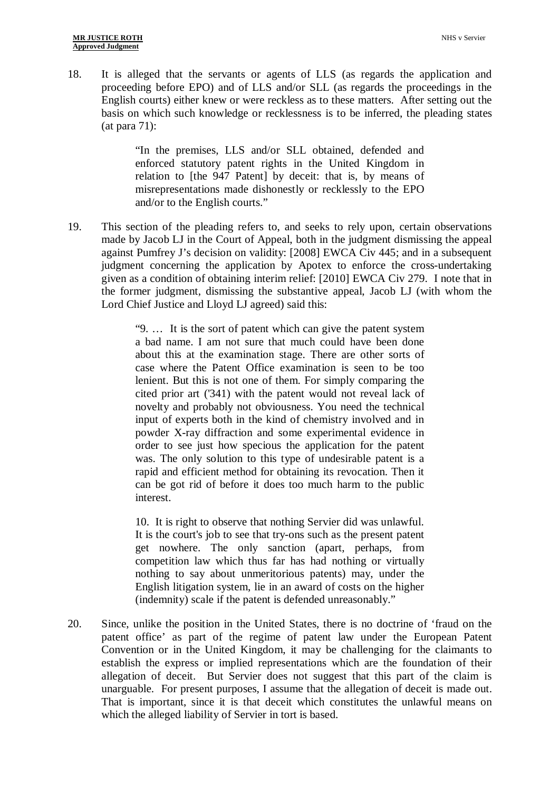18. It is alleged that the servants or agents of LLS (as regards the application and proceeding before EPO) and of LLS and/or SLL (as regards the proceedings in the English courts) either knew or were reckless as to these matters. After setting out the basis on which such knowledge or recklessness is to be inferred, the pleading states (at para 71):

> "In the premises, LLS and/or SLL obtained, defended and enforced statutory patent rights in the United Kingdom in relation to [the 947 Patent] by deceit: that is, by means of misrepresentations made dishonestly or recklessly to the EPO and/or to the English courts."

19. This section of the pleading refers to, and seeks to rely upon, certain observations made by Jacob LJ in the Court of Appeal, both in the judgment dismissing the appeal against Pumfrey J's decision on validity: [2008] EWCA Civ 445; and in a subsequent judgment concerning the application by Apotex to enforce the cross-undertaking given as a condition of obtaining interim relief: [2010] EWCA Civ 279. I note that in the former judgment, dismissing the substantive appeal, Jacob LJ (with whom the Lord Chief Justice and Lloyd LJ agreed) said this:

> "9. … It is the sort of patent which can give the patent system a bad name. I am not sure that much could have been done about this at the examination stage. There are other sorts of case where the Patent Office examination is seen to be too lenient. But this is not one of them. For simply comparing the cited prior art ('341) with the patent would not reveal lack of novelty and probably not obviousness. You need the technical input of experts both in the kind of chemistry involved and in powder X-ray diffraction and some experimental evidence in order to see just how specious the application for the patent was. The only solution to this type of undesirable patent is a rapid and efficient method for obtaining its revocation. Then it can be got rid of before it does too much harm to the public interest.

> 10. It is right to observe that nothing Servier did was unlawful. It is the court's job to see that try-ons such as the present patent get nowhere. The only sanction (apart, perhaps, from competition law which thus far has had nothing or virtually nothing to say about unmeritorious patents) may, under the English litigation system, lie in an award of costs on the higher (indemnity) scale if the patent is defended unreasonably."

20. Since, unlike the position in the United States, there is no doctrine of 'fraud on the patent office' as part of the regime of patent law under the European Patent Convention or in the United Kingdom, it may be challenging for the claimants to establish the express or implied representations which are the foundation of their allegation of deceit. But Servier does not suggest that this part of the claim is unarguable. For present purposes, I assume that the allegation of deceit is made out. That is important, since it is that deceit which constitutes the unlawful means on which the alleged liability of Servier in tort is based.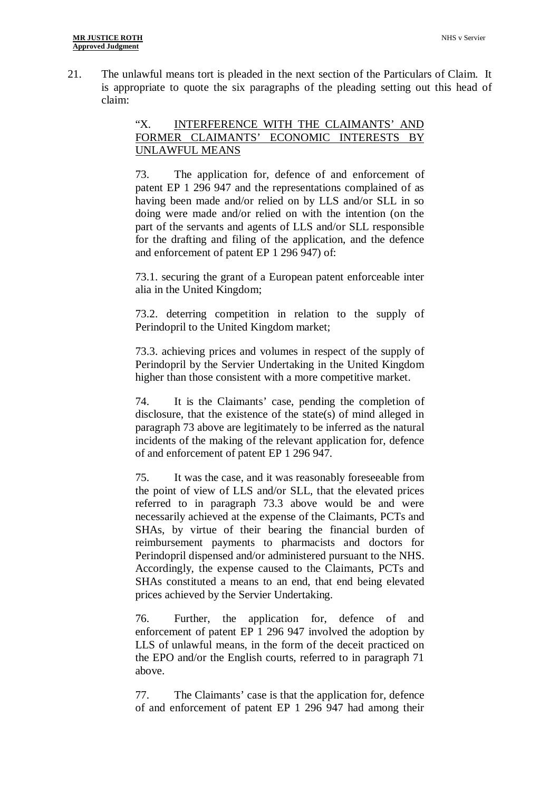21. The unlawful means tort is pleaded in the next section of the Particulars of Claim. It is appropriate to quote the six paragraphs of the pleading setting out this head of claim:

## "X. INTERFERENCE WITH THE CLAIMANTS' AND FORMER CLAIMANTS' ECONOMIC INTERESTS BY UNLAWFUL MEANS

73. The application for, defence of and enforcement of patent EP 1 296 947 and the representations complained of as having been made and/or relied on by LLS and/or SLL in so doing were made and/or relied on with the intention (on the part of the servants and agents of LLS and/or SLL responsible for the drafting and filing of the application, and the defence and enforcement of patent EP 1 296 947) of:

73.1. securing the grant of a European patent enforceable inter alia in the United Kingdom;

73.2. deterring competition in relation to the supply of Perindopril to the United Kingdom market;

73.3. achieving prices and volumes in respect of the supply of Perindopril by the Servier Undertaking in the United Kingdom higher than those consistent with a more competitive market.

74. It is the Claimants' case, pending the completion of disclosure, that the existence of the state(s) of mind alleged in paragraph 73 above are legitimately to be inferred as the natural incidents of the making of the relevant application for, defence of and enforcement of patent EP 1 296 947.

75. It was the case, and it was reasonably foreseeable from the point of view of LLS and/or SLL, that the elevated prices referred to in paragraph 73.3 above would be and were necessarily achieved at the expense of the Claimants, PCTs and SHAs, by virtue of their bearing the financial burden of reimbursement payments to pharmacists and doctors for Perindopril dispensed and/or administered pursuant to the NHS. Accordingly, the expense caused to the Claimants, PCTs and SHAs constituted a means to an end, that end being elevated prices achieved by the Servier Undertaking.

76. Further, the application for, defence of and enforcement of patent EP 1 296 947 involved the adoption by LLS of unlawful means, in the form of the deceit practiced on the EPO and/or the English courts, referred to in paragraph 71 above.

77. The Claimants' case is that the application for, defence of and enforcement of patent EP 1 296 947 had among their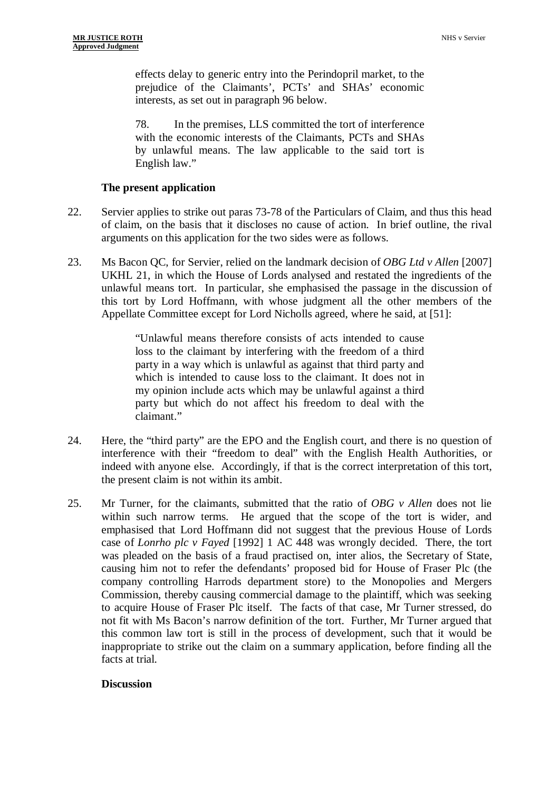effects delay to generic entry into the Perindopril market, to the prejudice of the Claimants', PCTs' and SHAs' economic interests, as set out in paragraph 96 below.

78. In the premises, LLS committed the tort of interference with the economic interests of the Claimants, PCTs and SHAs by unlawful means. The law applicable to the said tort is English law."

#### **The present application**

- 22. Servier applies to strike out paras 73-78 of the Particulars of Claim, and thus this head of claim, on the basis that it discloses no cause of action. In brief outline, the rival arguments on this application for the two sides were as follows.
- 23. Ms Bacon QC, for Servier, relied on the landmark decision of *OBG Ltd v Allen* [2007] UKHL 21, in which the House of Lords analysed and restated the ingredients of the unlawful means tort. In particular, she emphasised the passage in the discussion of this tort by Lord Hoffmann, with whose judgment all the other members of the Appellate Committee except for Lord Nicholls agreed, where he said, at [51]:

"Unlawful means therefore consists of acts intended to cause loss to the claimant by interfering with the freedom of a third party in a way which is unlawful as against that third party and which is intended to cause loss to the claimant. It does not in my opinion include acts which may be unlawful against a third party but which do not affect his freedom to deal with the claimant."

- 24. Here, the "third party" are the EPO and the English court, and there is no question of interference with their "freedom to deal" with the English Health Authorities, or indeed with anyone else. Accordingly, if that is the correct interpretation of this tort, the present claim is not within its ambit.
- 25. Mr Turner, for the claimants, submitted that the ratio of *OBG v Allen* does not lie within such narrow terms. He argued that the scope of the tort is wider, and emphasised that Lord Hoffmann did not suggest that the previous House of Lords case of *Lonrho plc v Fayed* [1992] 1 AC 448 was wrongly decided. There, the tort was pleaded on the basis of a fraud practised on, inter alios, the Secretary of State, causing him not to refer the defendants' proposed bid for House of Fraser Plc (the company controlling Harrods department store) to the Monopolies and Mergers Commission, thereby causing commercial damage to the plaintiff, which was seeking to acquire House of Fraser Plc itself. The facts of that case, Mr Turner stressed, do not fit with Ms Bacon's narrow definition of the tort. Further, Mr Turner argued that this common law tort is still in the process of development, such that it would be inappropriate to strike out the claim on a summary application, before finding all the facts at trial.

## **Discussion**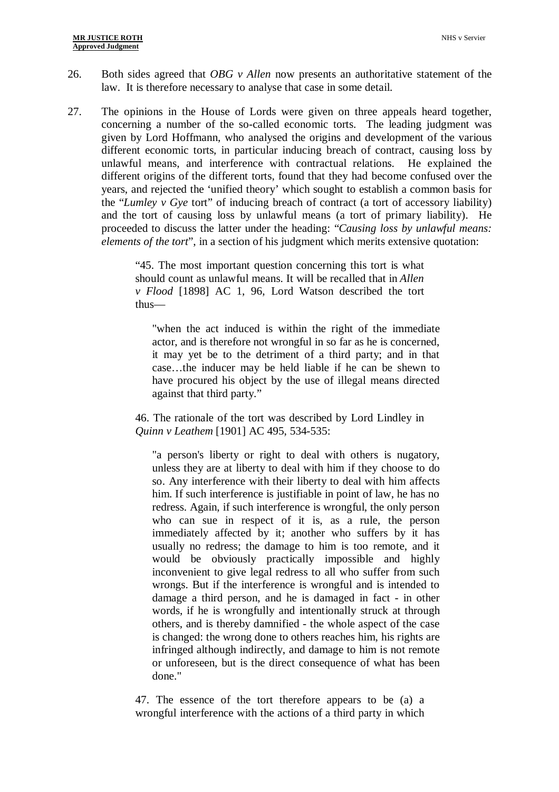- 26. Both sides agreed that *OBG v Allen* now presents an authoritative statement of the law. It is therefore necessary to analyse that case in some detail.
- 27. The opinions in the House of Lords were given on three appeals heard together, concerning a number of the so-called economic torts. The leading judgment was given by Lord Hoffmann, who analysed the origins and development of the various different economic torts, in particular inducing breach of contract, causing loss by unlawful means, and interference with contractual relations. He explained the different origins of the different torts, found that they had become confused over the years, and rejected the 'unified theory' which sought to establish a common basis for the "*Lumley v Gye* tort" of inducing breach of contract (a tort of accessory liability) and the tort of causing loss by unlawful means (a tort of primary liability). He proceeded to discuss the latter under the heading: "*Causing loss by unlawful means: elements of the tort*", in a section of his judgment which merits extensive quotation:

"45. The most important question concerning this tort is what should count as unlawful means. It will be recalled that in *Allen v Flood* [1898] AC 1, 96, Lord Watson described the tort thus—

"when the act induced is within the right of the immediate actor, and is therefore not wrongful in so far as he is concerned, it may yet be to the detriment of a third party; and in that case…the inducer may be held liable if he can be shewn to have procured his object by the use of illegal means directed against that third party."

46. The rationale of the tort was described by Lord Lindley in *Quinn v Leathem* [1901] AC 495, 534-535:

"a person's liberty or right to deal with others is nugatory, unless they are at liberty to deal with him if they choose to do so. Any interference with their liberty to deal with him affects him. If such interference is justifiable in point of law, he has no redress. Again, if such interference is wrongful, the only person who can sue in respect of it is, as a rule, the person immediately affected by it; another who suffers by it has usually no redress; the damage to him is too remote, and it would be obviously practically impossible and highly inconvenient to give legal redress to all who suffer from such wrongs. But if the interference is wrongful and is intended to damage a third person, and he is damaged in fact - in other words, if he is wrongfully and intentionally struck at through others, and is thereby damnified - the whole aspect of the case is changed: the wrong done to others reaches him, his rights are infringed although indirectly, and damage to him is not remote or unforeseen, but is the direct consequence of what has been done."

47. The essence of the tort therefore appears to be (a) a wrongful interference with the actions of a third party in which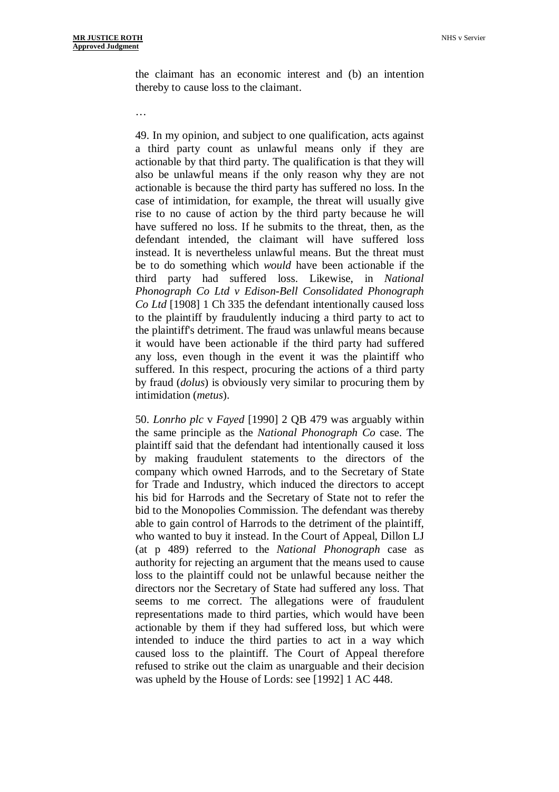the claimant has an economic interest and (b) an intention thereby to cause loss to the claimant.

…

49. In my opinion, and subject to one qualification, acts against a third party count as unlawful means only if they are actionable by that third party. The qualification is that they will also be unlawful means if the only reason why they are not actionable is because the third party has suffered no loss. In the case of intimidation, for example, the threat will usually give rise to no cause of action by the third party because he will have suffered no loss. If he submits to the threat, then, as the defendant intended, the claimant will have suffered loss instead. It is nevertheless unlawful means. But the threat must be to do something which *would* have been actionable if the third party had suffered loss. Likewise, in *National Phonograph Co Ltd v Edison-Bell Consolidated Phonograph Co Ltd* [1908] 1 Ch 335 the defendant intentionally caused loss to the plaintiff by fraudulently inducing a third party to act to the plaintiff's detriment. The fraud was unlawful means because it would have been actionable if the third party had suffered any loss, even though in the event it was the plaintiff who suffered. In this respect, procuring the actions of a third party by fraud (*dolus*) is obviously very similar to procuring them by intimidation (*metus*).

50. *Lonrho plc* v *Fayed* [1990] 2 QB 479 was arguably within the same principle as the *National Phonograph Co* case. The plaintiff said that the defendant had intentionally caused it loss by making fraudulent statements to the directors of the company which owned Harrods, and to the Secretary of State for Trade and Industry, which induced the directors to accept his bid for Harrods and the Secretary of State not to refer the bid to the Monopolies Commission. The defendant was thereby able to gain control of Harrods to the detriment of the plaintiff, who wanted to buy it instead. In the Court of Appeal, Dillon LJ (at p 489) referred to the *National Phonograph* case as authority for rejecting an argument that the means used to cause loss to the plaintiff could not be unlawful because neither the directors nor the Secretary of State had suffered any loss. That seems to me correct. The allegations were of fraudulent representations made to third parties, which would have been actionable by them if they had suffered loss, but which were intended to induce the third parties to act in a way which caused loss to the plaintiff. The Court of Appeal therefore refused to strike out the claim as unarguable and their decision was upheld by the House of Lords: see [1992] 1 AC 448.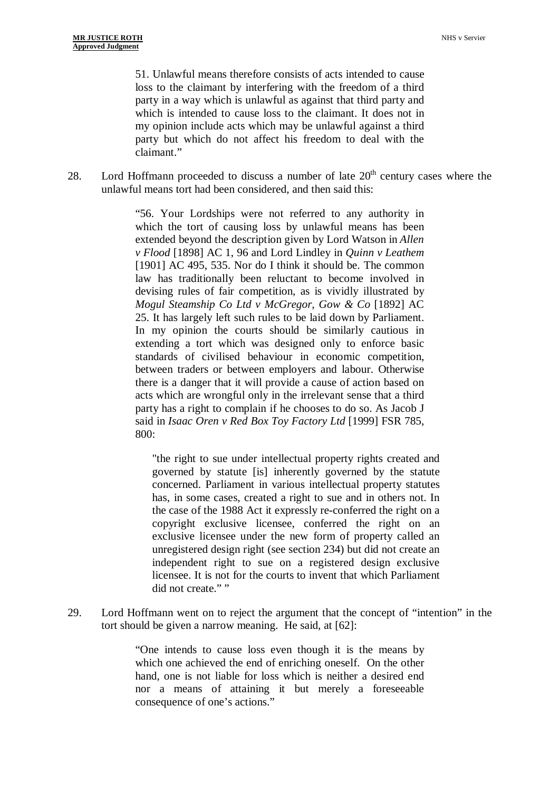51. Unlawful means therefore consists of acts intended to cause loss to the claimant by interfering with the freedom of a third party in a way which is unlawful as against that third party and which is intended to cause loss to the claimant. It does not in my opinion include acts which may be unlawful against a third party but which do not affect his freedom to deal with the claimant."

28. Lord Hoffmann proceeded to discuss a number of late  $20<sup>th</sup>$  century cases where the unlawful means tort had been considered, and then said this:

> "56. Your Lordships were not referred to any authority in which the tort of causing loss by unlawful means has been extended beyond the description given by Lord Watson in *Allen v Flood* [1898] AC 1, 96 and Lord Lindley in *Quinn v Leathem*  [1901] AC 495, 535. Nor do I think it should be. The common law has traditionally been reluctant to become involved in devising rules of fair competition, as is vividly illustrated by *Mogul Steamship Co Ltd v McGregor, Gow & Co* [1892] AC 25. It has largely left such rules to be laid down by Parliament. In my opinion the courts should be similarly cautious in extending a tort which was designed only to enforce basic standards of civilised behaviour in economic competition, between traders or between employers and labour. Otherwise there is a danger that it will provide a cause of action based on acts which are wrongful only in the irrelevant sense that a third party has a right to complain if he chooses to do so. As Jacob J said in *Isaac Oren v Red Box Toy Factory Ltd* [1999] FSR 785, 800:

"the right to sue under intellectual property rights created and governed by statute [is] inherently governed by the statute concerned. Parliament in various intellectual property statutes has, in some cases, created a right to sue and in others not. In the case of the 1988 Act it expressly re-conferred the right on a copyright exclusive licensee, conferred the right on an exclusive licensee under the new form of property called an unregistered design right (see section 234) but did not create an independent right to sue on a registered design exclusive licensee. It is not for the courts to invent that which Parliament did not create.""

29. Lord Hoffmann went on to reject the argument that the concept of "intention" in the tort should be given a narrow meaning. He said, at [62]:

> "One intends to cause loss even though it is the means by which one achieved the end of enriching oneself. On the other hand, one is not liable for loss which is neither a desired end nor a means of attaining it but merely a foreseeable consequence of one's actions."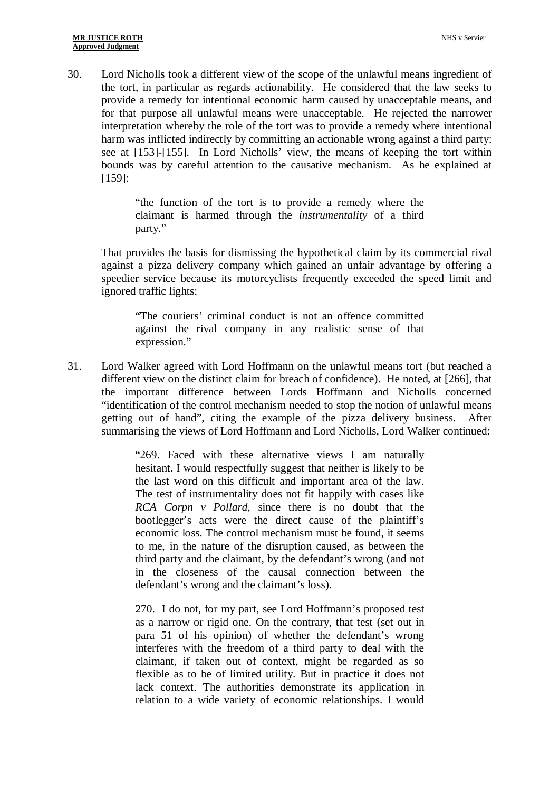30. Lord Nicholls took a different view of the scope of the unlawful means ingredient of the tort, in particular as regards actionability. He considered that the law seeks to provide a remedy for intentional economic harm caused by unacceptable means, and for that purpose all unlawful means were unacceptable. He rejected the narrower interpretation whereby the role of the tort was to provide a remedy where intentional harm was inflicted indirectly by committing an actionable wrong against a third party: see at [153]-[155]. In Lord Nicholls' view, the means of keeping the tort within bounds was by careful attention to the causative mechanism. As he explained at [159]:

> "the function of the tort is to provide a remedy where the claimant is harmed through the *instrumentality* of a third party."

That provides the basis for dismissing the hypothetical claim by its commercial rival against a pizza delivery company which gained an unfair advantage by offering a speedier service because its motorcyclists frequently exceeded the speed limit and ignored traffic lights:

"The couriers' criminal conduct is not an offence committed against the rival company in any realistic sense of that expression."

31. Lord Walker agreed with Lord Hoffmann on the unlawful means tort (but reached a different view on the distinct claim for breach of confidence). He noted, at [266], that the important difference between Lords Hoffmann and Nicholls concerned "identification of the control mechanism needed to stop the notion of unlawful means getting out of hand", citing the example of the pizza delivery business. After summarising the views of Lord Hoffmann and Lord Nicholls, Lord Walker continued:

> "269. Faced with these alternative views I am naturally hesitant. I would respectfully suggest that neither is likely to be the last word on this difficult and important area of the law. The test of instrumentality does not fit happily with cases like *RCA Corpn v Pollard*, since there is no doubt that the bootlegger's acts were the direct cause of the plaintiff's economic loss. The control mechanism must be found, it seems to me, in the nature of the disruption caused, as between the third party and the claimant, by the defendant's wrong (and not in the closeness of the causal connection between the defendant's wrong and the claimant's loss).

> 270. I do not, for my part, see Lord Hoffmann's proposed test as a narrow or rigid one. On the contrary, that test (set out in para 51 of his opinion) of whether the defendant's wrong interferes with the freedom of a third party to deal with the claimant, if taken out of context, might be regarded as so flexible as to be of limited utility. But in practice it does not lack context. The authorities demonstrate its application in relation to a wide variety of economic relationships. I would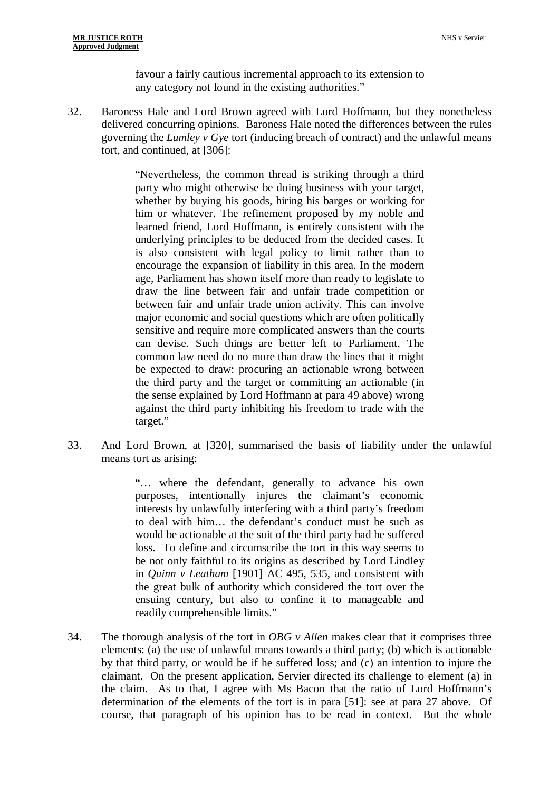favour a fairly cautious incremental approach to its extension to any category not found in the existing authorities."

32. Baroness Hale and Lord Brown agreed with Lord Hoffmann, but they nonetheless delivered concurring opinions. Baroness Hale noted the differences between the rules governing the *Lumley v Gye* tort (inducing breach of contract) and the unlawful means tort, and continued, at [306]:

> "Nevertheless, the common thread is striking through a third party who might otherwise be doing business with your target, whether by buying his goods, hiring his barges or working for him or whatever. The refinement proposed by my noble and learned friend, Lord Hoffmann, is entirely consistent with the underlying principles to be deduced from the decided cases. It is also consistent with legal policy to limit rather than to encourage the expansion of liability in this area. In the modern age, Parliament has shown itself more than ready to legislate to draw the line between fair and unfair trade competition or between fair and unfair trade union activity. This can involve major economic and social questions which are often politically sensitive and require more complicated answers than the courts can devise. Such things are better left to Parliament. The common law need do no more than draw the lines that it might be expected to draw: procuring an actionable wrong between the third party and the target or committing an actionable (in the sense explained by Lord Hoffmann at para 49 above) wrong against the third party inhibiting his freedom to trade with the target."

33. And Lord Brown, at [320], summarised the basis of liability under the unlawful means tort as arising:

> "… where the defendant, generally to advance his own purposes, intentionally injures the claimant's economic interests by unlawfully interfering with a third party's freedom to deal with him… the defendant's conduct must be such as would be actionable at the suit of the third party had he suffered loss. To define and circumscribe the tort in this way seems to be not only faithful to its origins as described by Lord Lindley in *Quinn v Leatham* [1901] AC 495, 535, and consistent with the great bulk of authority which considered the tort over the ensuing century, but also to confine it to manageable and readily comprehensible limits."

34. The thorough analysis of the tort in *OBG v Allen* makes clear that it comprises three elements: (a) the use of unlawful means towards a third party; (b) which is actionable by that third party, or would be if he suffered loss; and (c) an intention to injure the claimant. On the present application, Servier directed its challenge to element (a) in the claim. As to that, I agree with Ms Bacon that the ratio of Lord Hoffmann's determination of the elements of the tort is in para [51]: see at para 27 above. Of course, that paragraph of his opinion has to be read in context. But the whole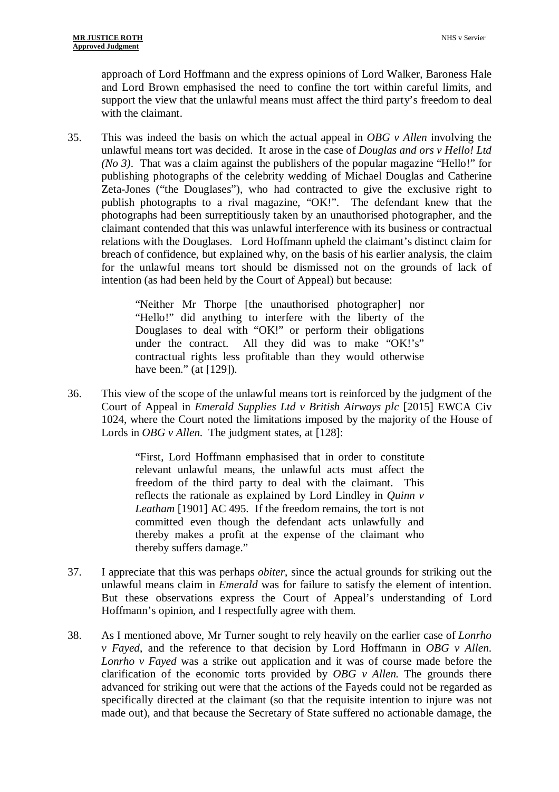approach of Lord Hoffmann and the express opinions of Lord Walker, Baroness Hale and Lord Brown emphasised the need to confine the tort within careful limits, and support the view that the unlawful means must affect the third party's freedom to deal with the claimant.

35. This was indeed the basis on which the actual appeal in *OBG v Allen* involving the unlawful means tort was decided. It arose in the case of *Douglas and ors v Hello! Ltd (No 3)*. That was a claim against the publishers of the popular magazine "Hello!" for publishing photographs of the celebrity wedding of Michael Douglas and Catherine Zeta-Jones ("the Douglases"), who had contracted to give the exclusive right to publish photographs to a rival magazine, "OK!". The defendant knew that the photographs had been surreptitiously taken by an unauthorised photographer, and the claimant contended that this was unlawful interference with its business or contractual relations with the Douglases. Lord Hoffmann upheld the claimant's distinct claim for breach of confidence, but explained why, on the basis of his earlier analysis, the claim for the unlawful means tort should be dismissed not on the grounds of lack of intention (as had been held by the Court of Appeal) but because:

> "Neither Mr Thorpe [the unauthorised photographer] nor "Hello!" did anything to interfere with the liberty of the Douglases to deal with "OK!" or perform their obligations under the contract. All they did was to make "OK!'s" contractual rights less profitable than they would otherwise have been." (at  $[129]$ ).

36. This view of the scope of the unlawful means tort is reinforced by the judgment of the Court of Appeal in *Emerald Supplies Ltd v British Airways plc* [2015] EWCA Civ 1024, where the Court noted the limitations imposed by the majority of the House of Lords in *OBG v Allen*. The judgment states, at [128]:

> "First, Lord Hoffmann emphasised that in order to constitute relevant unlawful means, the unlawful acts must affect the freedom of the third party to deal with the claimant. This reflects the rationale as explained by Lord Lindley in *Quinn v Leatham* [1901] AC 495. If the freedom remains, the tort is not committed even though the defendant acts unlawfully and thereby makes a profit at the expense of the claimant who thereby suffers damage."

- 37. I appreciate that this was perhaps *obiter*, since the actual grounds for striking out the unlawful means claim in *Emerald* was for failure to satisfy the element of intention. But these observations express the Court of Appeal's understanding of Lord Hoffmann's opinion, and I respectfully agree with them.
- 38. As I mentioned above, Mr Turner sought to rely heavily on the earlier case of *Lonrho v Fayed*, and the reference to that decision by Lord Hoffmann in *OBG v Allen*. *Lonrho v Fayed* was a strike out application and it was of course made before the clarification of the economic torts provided by *OBG v Allen.* The grounds there advanced for striking out were that the actions of the Fayeds could not be regarded as specifically directed at the claimant (so that the requisite intention to injure was not made out), and that because the Secretary of State suffered no actionable damage, the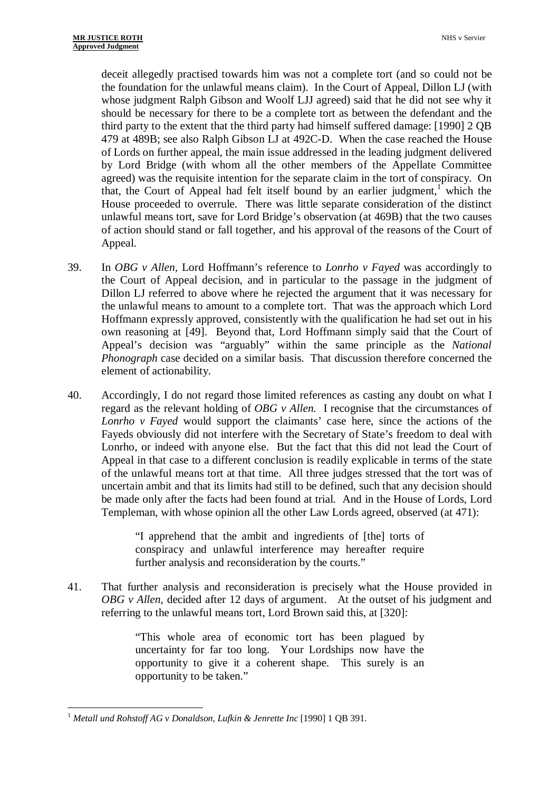deceit allegedly practised towards him was not a complete tort (and so could not be the foundation for the unlawful means claim). In the Court of Appeal, Dillon LJ (with whose judgment Ralph Gibson and Woolf LJJ agreed) said that he did not see why it should be necessary for there to be a complete tort as between the defendant and the third party to the extent that the third party had himself suffered damage: [1990] 2 QB 479 at 489B; see also Ralph Gibson LJ at 492C-D. When the case reached the House of Lords on further appeal, the main issue addressed in the leading judgment delivered by Lord Bridge (with whom all the other members of the Appellate Committee agreed) was the requisite intention for the separate claim in the tort of conspiracy. On that, the Court of Appeal had felt itself bound by an earlier judgment,<sup>1</sup> which the House proceeded to overrule. There was little separate consideration of the distinct unlawful means tort, save for Lord Bridge's observation (at 469B) that the two causes of action should stand or fall together, and his approval of the reasons of the Court of Appeal.

- 39. In *OBG v Allen,* Lord Hoffmann's reference to *Lonrho v Fayed* was accordingly to the Court of Appeal decision, and in particular to the passage in the judgment of Dillon LJ referred to above where he rejected the argument that it was necessary for the unlawful means to amount to a complete tort. That was the approach which Lord Hoffmann expressly approved, consistently with the qualification he had set out in his own reasoning at [49]. Beyond that, Lord Hoffmann simply said that the Court of Appeal's decision was "arguably" within the same principle as the *National Phonograph* case decided on a similar basis. That discussion therefore concerned the element of actionability.
- 40. Accordingly, I do not regard those limited references as casting any doubt on what I regard as the relevant holding of *OBG v Allen.* I recognise that the circumstances of *Lonrho v Fayed* would support the claimants' case here, since the actions of the Fayeds obviously did not interfere with the Secretary of State's freedom to deal with Lonrho, or indeed with anyone else. But the fact that this did not lead the Court of Appeal in that case to a different conclusion is readily explicable in terms of the state of the unlawful means tort at that time. All three judges stressed that the tort was of uncertain ambit and that its limits had still to be defined, such that any decision should be made only after the facts had been found at trial. And in the House of Lords, Lord Templeman, with whose opinion all the other Law Lords agreed, observed (at 471):

"I apprehend that the ambit and ingredients of [the] torts of conspiracy and unlawful interference may hereafter require further analysis and reconsideration by the courts."

41. That further analysis and reconsideration is precisely what the House provided in *OBG v Allen,* decided after 12 days of argument. At the outset of his judgment and referring to the unlawful means tort, Lord Brown said this, at [320]:

> "This whole area of economic tort has been plagued by uncertainty for far too long. Your Lordships now have the opportunity to give it a coherent shape. This surely is an opportunity to be taken."

 $\overline{a}$ <sup>1</sup> Metall und Rohstoff AG v Donaldson, Lufkin & Jenrette Inc [1990] 1 OB 391.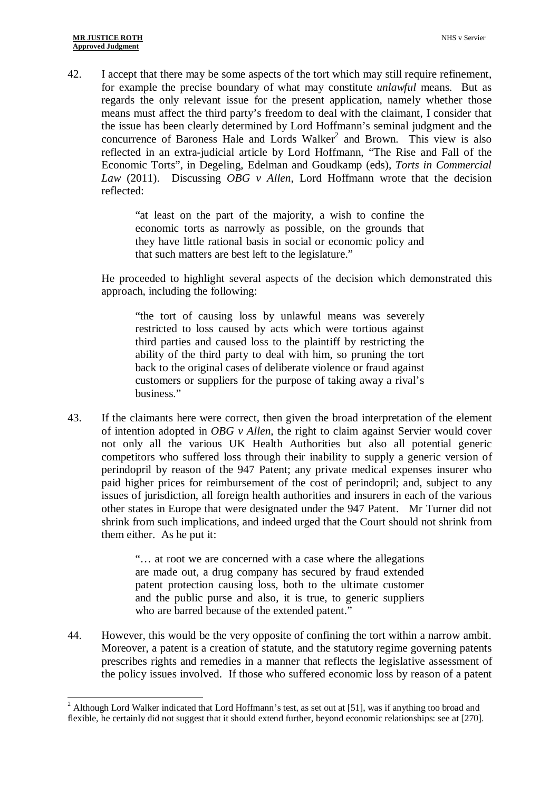42. I accept that there may be some aspects of the tort which may still require refinement, for example the precise boundary of what may constitute *unlawful* means. But as regards the only relevant issue for the present application, namely whether those means must affect the third party's freedom to deal with the claimant, I consider that the issue has been clearly determined by Lord Hoffmann's seminal judgment and the concurrence of Baroness Hale and Lords Walker<sup>2</sup> and Brown. This view is also reflected in an extra-judicial article by Lord Hoffmann, "The Rise and Fall of the Economic Torts", in Degeling, Edelman and Goudkamp (eds), *Torts in Commercial Law* (2011). Discussing *OBG v Allen,* Lord Hoffmann wrote that the decision reflected:

> "at least on the part of the majority, a wish to confine the economic torts as narrowly as possible, on the grounds that they have little rational basis in social or economic policy and that such matters are best left to the legislature."

He proceeded to highlight several aspects of the decision which demonstrated this approach, including the following:

"the tort of causing loss by unlawful means was severely restricted to loss caused by acts which were tortious against third parties and caused loss to the plaintiff by restricting the ability of the third party to deal with him, so pruning the tort back to the original cases of deliberate violence or fraud against customers or suppliers for the purpose of taking away a rival's business."

43. If the claimants here were correct, then given the broad interpretation of the element of intention adopted in *OBG v Allen*, the right to claim against Servier would cover not only all the various UK Health Authorities but also all potential generic competitors who suffered loss through their inability to supply a generic version of perindopril by reason of the 947 Patent; any private medical expenses insurer who paid higher prices for reimbursement of the cost of perindopril; and, subject to any issues of jurisdiction, all foreign health authorities and insurers in each of the various other states in Europe that were designated under the 947 Patent. Mr Turner did not shrink from such implications, and indeed urged that the Court should not shrink from them either. As he put it:

> "… at root we are concerned with a case where the allegations are made out, a drug company has secured by fraud extended patent protection causing loss, both to the ultimate customer and the public purse and also, it is true, to generic suppliers who are barred because of the extended patent."

44. However, this would be the very opposite of confining the tort within a narrow ambit. Moreover, a patent is a creation of statute, and the statutory regime governing patents prescribes rights and remedies in a manner that reflects the legislative assessment of the policy issues involved. If those who suffered economic loss by reason of a patent

 $\overline{a}$ <sup>2</sup> Although Lord Walker indicated that Lord Hoffmann's test, as set out at [51], was if anything too broad and flexible, he certainly did not suggest that it should extend further, beyond economic relationships: see at [270].